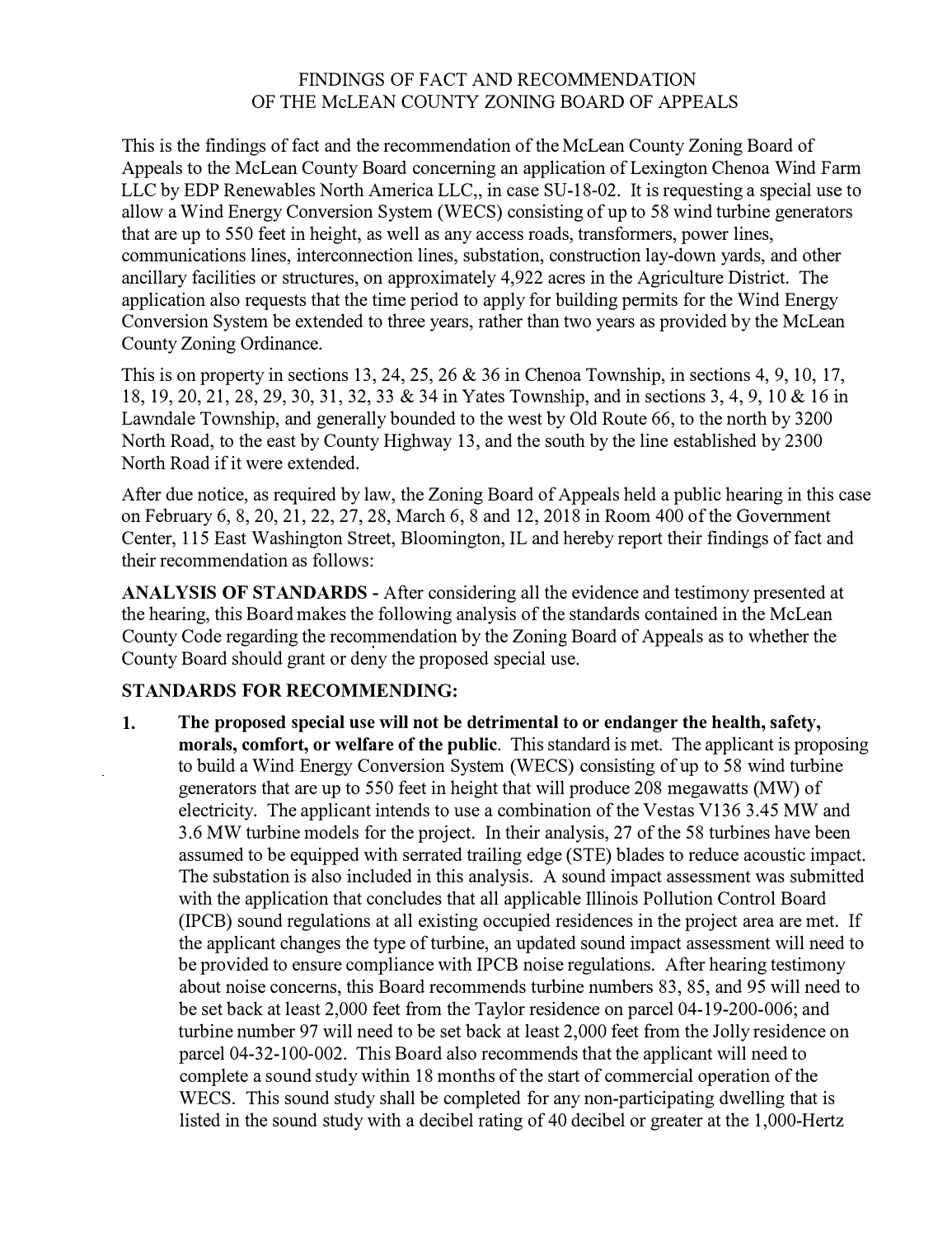## FINDINGS OF FACT AND RECOMMENDATION OF THE McLEAN COUNTY ZONING BOARD OF APPEALS

This is the findings of fact and the recommendation of the McLean County Zoning Board of Appeals to the McLean County Board concerning an application of Lexington Chenoa Wind Farm LLC by EDP Renewables North America LLC,, in case SU-18-02. It is requesting a special use to allow a Wind Energy Conversion System (WECS) consisting of up to 58 wind turbine generators that are up to 550 feet in height, as well as any access roads, transformers, power lines, communications lines, interconnection lines, substation, construction lay-down yards, and other ancillary facilities or structures, on approximately 4,922 acres in the Agriculture District. The application also requests that the time period to apply for building permits for the Wind Energy Conversion System be extended to three years, rather than two years as provided by the McLean County Zoning Ordinance.

This is on property in sections 13, 24, 25, 26 & 36 in Chenoa Township, in sections 4, 9, 10, 17, 18, 19, 20, 21, 28, 29, 30, 31, 32, 33 & 34 in Yates Township, and in sections 3, 4, 9, 10 & 16 in Lawndale Township, and generally bounded to the west by Old Route 66, to the north by 3200 North Road, to the east by County Highway 13, and the south by the line established by 2300 North Road if it were extended.

After due notice, as required by law, the Zoning Board of Appeals held a public hearing in this case on February 6, 8, 20, 21, 22, 27, 28, March 6, 8 and 12, 2018 in Room 400 of the Government Center, 115 East Washington Street, Bloomington, IL and hereby report their findings of fact and their recommendation as follows:

**ANALYSIS OF STANDARDS** - After considering all the evidence and testimony presented at the hearing, this Board makes the following analysis of the standards contained in the McLean County Code regarding the recommendation by the Zoning Board of Appeals as to whether the County Board should grant or deny the proposed special use.

## **STANDARDS FOR RECOMMENDING:**

1. **The proposed special use will not be detrimental to or endanger the health, safety, morals, comfort, or welfare of the public.** This standard is met. The applicant is proposing to build a Wind Energy Conversion System (WECS) consisting of up to 58 wind turbine generators that are up to 550 feet in height that will produce 208 megawatts (MW) of electricity. The applicant intends to use a combination of the Vestas V136 3.45 MW and 3.6 MW turbine models for the project. In their analysis, 27 of the 58 turbines have been assumed to be equipped with serrated trailing edge (STE) blades to reduce acoustic impact. The substation is also included in this analysis. A sound impact assessment was submitted with the application that concludes that all applicable Illinois Pollution Control Board (IPCB) sound regulations at all existing occupied residences in the project area are met. If the applicant changes the type of turbine, an updated sound impact assessment will need to be provided to ensure compliance with IPCB noise regulations. After hearing testimony about noise concerns, this Board recommends turbine numbers 83, 85, and 95 will need to be set back at least 2,000 feet from the Taylor residence on parcel 04-19-200-006; and turbine number 97 will need to be set back at least 2,000 feet from the Jolly residence on parcel 04-32-100-002. This Board also recommends that the applicant will need to complete a sound study within 18 months of the start of commercial operation of the WECS. This sound study shall be completed for any non-participating dwelling that is listed in the sound study with a decibel rating of 40 decibel or greater at the 1,000-Hertz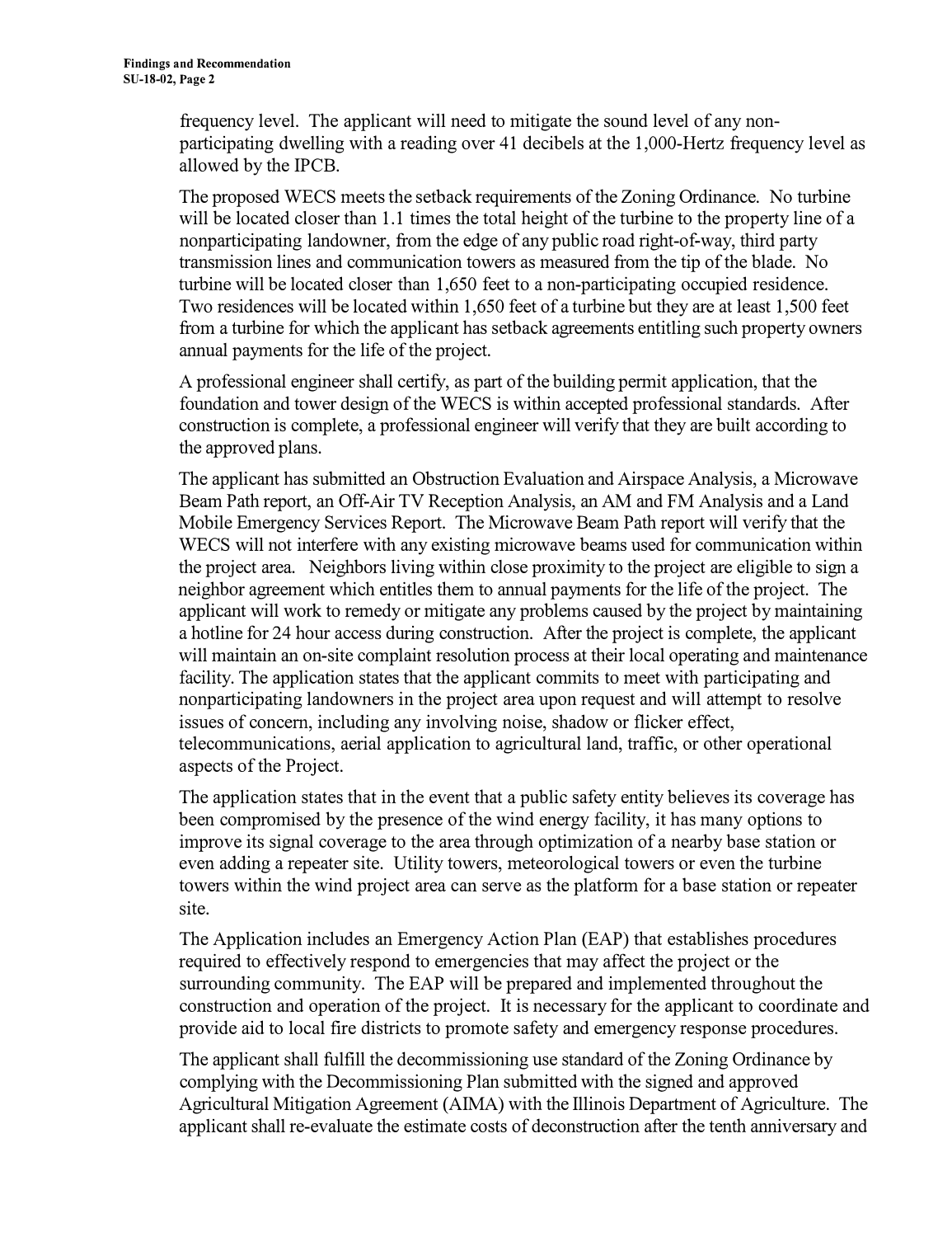frequency level. The applicant will need to mitigate the sound level of any nonparticipating dwelling with a reading over 41 decibels at the 1,000-Hertz frequency level as allowed by the IPCB.

The proposed WECS meets the setback requirements of the Zoning Ordinance. No turbine will be located closer than 1.1 times the total height of the turbine to the property line of a nonparticipating landowner, from the edge of any public road right-of-way, third party transmission lines and communication towers as measured from the tip of the blade. No turbine will be located closer than 1,650 feet to a non-participating occupied residence. Two residences will be located within 1,650 feet of a turbine but they are at least 1,500 feet from a turbine for which the applicant has setback agreements entitling such property owners annual payments for the life of the project.

A professional engineer shall certify, as part of the building permit application, that the foundation and tower design of the WECS is within accepted professional standards. After construction is complete, a professional engineer will verify that they are built according to the approved plans.

The applicant has submitted an Obstruction Evaluation and Airspace Analysis, a Microwave Beam Path report, an Off-Air TV Reception Analysis, an AM and FM Analysis and a Land Mobile Emergency Services Report. The Microwave Beam Path report will verify that the WECS will not interfere with any existing microwave beams used for communication within the project area. Neighbors living within close proximity to the project are eligible to sign a neighbor agreement which entitles them to annual payments for the life of the project. The applicant will work to remedy or mitigate any problems caused by the project by maintaining a hotline for 24 hour access during construction. After the project is complete, the applicant will maintain an on-site complaint resolution process at their local operating and maintenance facility. The application states that the applicant commits to meet with participating and nonparticipating landowners in the project area upon request and will attempt to resolve issues of concern, including any involving noise, shadow or flicker effect, telecommunications, aerial application to agricultural land, traffic, or other operational aspects of the Project.

The application states that in the event that a public safety entity believes its coverage has been compromised by the presence of the wind energy facility, it has many options to improve its signal coverage to the area through optimization of a nearby base station or even adding a repeater site. Utility towers, meteorological towers or even the turbine towers within the wind project area can serve as the platform for a base station or repeater site.

The Application includes an Emergency Action Plan (EAP) that establishes procedures required to effectively respond to emergencies that may affect the project or the surrounding community. The EAP will be prepared and implemented throughout the construction and operation of the project. It is necessary for the applicant to coordinate and provide aid to local fire districts to promote safety and emergency response procedures.

The applicant shall fulfill the decommissioning use standard of the Zoning Ordinance by complying with the Decommissioning Plan submitted with the signed and approved Agricultural Mitigation Agreement (AIMA) with the Illinois Department of Agriculture. The applicant shall re-evaluate the estimate costs of deconstruction after the tenth anniversary and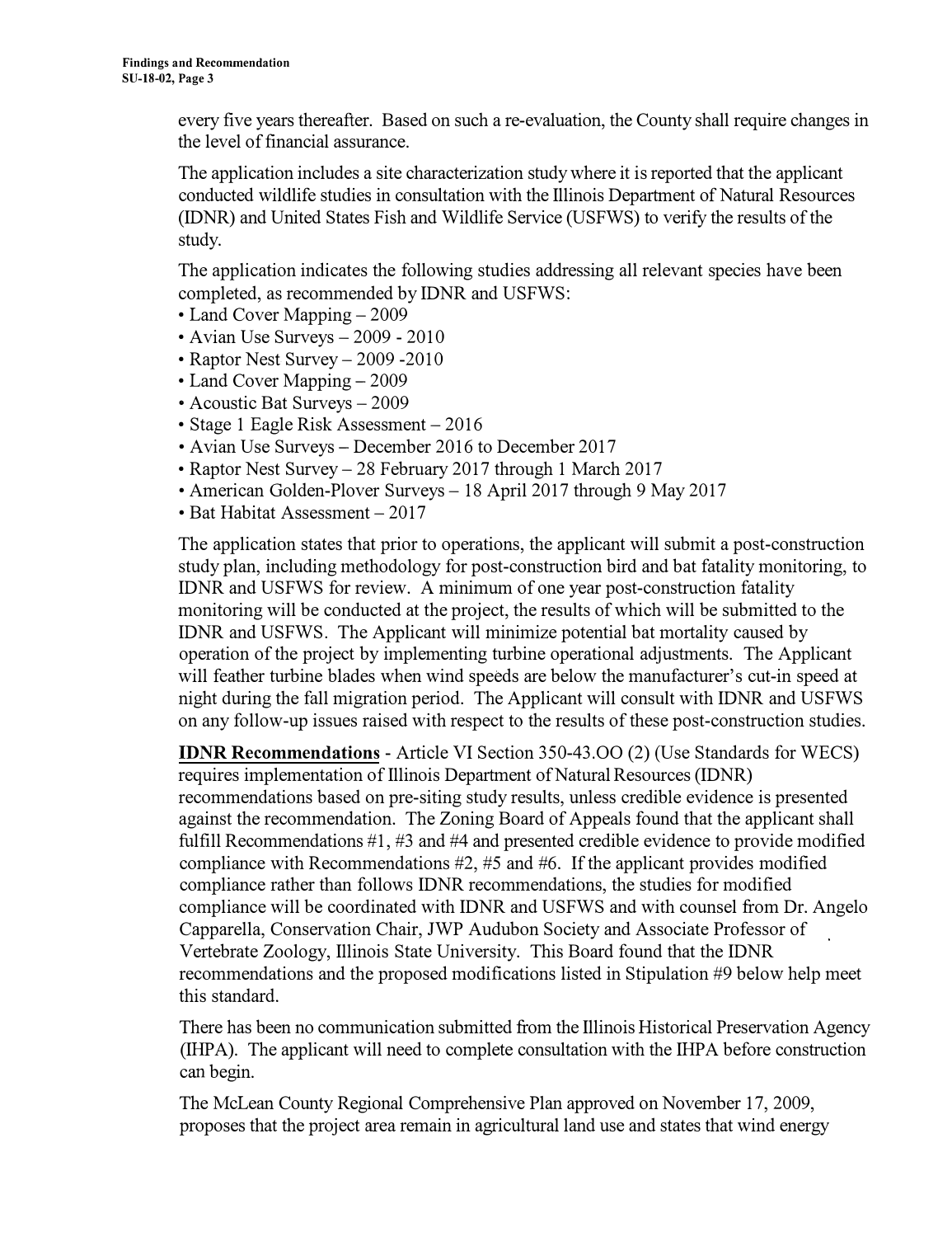every five years thereafter. Based on such a re-evaluation, the County shall require changes in the level of financial assurance.

The application includes a site characterization study where it is reported that the applicant conducted wildlife studies in consultation with the Illinois Department of Natural Resources (IDNR) and United States Fish and Wildlife Service (USFWS) to verify the results of the study.

The application indicates the following studies addressing all relevant species have been completed, as recommended by IDNR and USFWS:

- Land Cover Mapping 2009
- Avian Use Surveys 2009 2010
- Raptor Nest Survey 2009 2010
- Land Cover Mapping 2009
- Acoustic Bat Surveys 2009
- Stage 1 Eagle Risk Assessment 2016
- Avian Use Surveys December 2016 to December 2017
- Raptor Nest Survey- 28 February 2017 through 1 March 2017
- American Golden-Plover Surveys 18 April 2017 through 9 May 2017
- Bat Habitat Assessment 2017

The application states that prior to operations, the applicant will submit a post-construction study plan, including methodology for post-construction bird and bat fatality monitoring, to IDNR and USFWS for review. A minimum of one year post-construction fatality monitoring will be conducted at the project, the results of which will be submitted to the IDNR and USFWS. The Applicant will minimize potential bat mortality caused by operation of the project by implementing turbine operational adjustments. The Applicant will feather turbine blades when wind speeds are below the manufacturer's cut-in speed at night during the fall migration period. The Applicant will consult with IDNR and USFWS on any follow-up issues raised with respect to the results of these post-construction studies.

**IDNR Recommendations** - Article VI Section 350-43.00 (2) (Use Standards for WECS) requires implementation of Illinois Department of Natural Resources (IDNR) recommendations based on pre-siting study results, unless credible evidence is presented against the recommendation. The Zoning Board of Appeals found that the applicant shall fulfill Recommendations #1, #3 and #4 and presented credible evidence to provide modified compliance with Recommendations #2, #5 and #6. If the applicant provides modified compliance rather than follows IDNR recommendations, the studies for modified compliance will be coordinated with IDNR and USFWS and with counsel from Dr. Angelo Capparella, Conservation Chair, JWP Audubon Society and Associate Professor of Vertebrate Zoology, Illinois State University. This Board found that the IDNR recommendations and the proposed modifications listed in Stipulation #9 below help meet this standard.

There has been no communication submitted from the Illinois Historical Preservation Agency (IHPA). The applicant will need to complete consultation with the IHPA before construction can begin.

The McLean County Regional Comprehensive Plan approved on November 17, 2009, proposes that the project area remain in agricultural land use and states that wind energy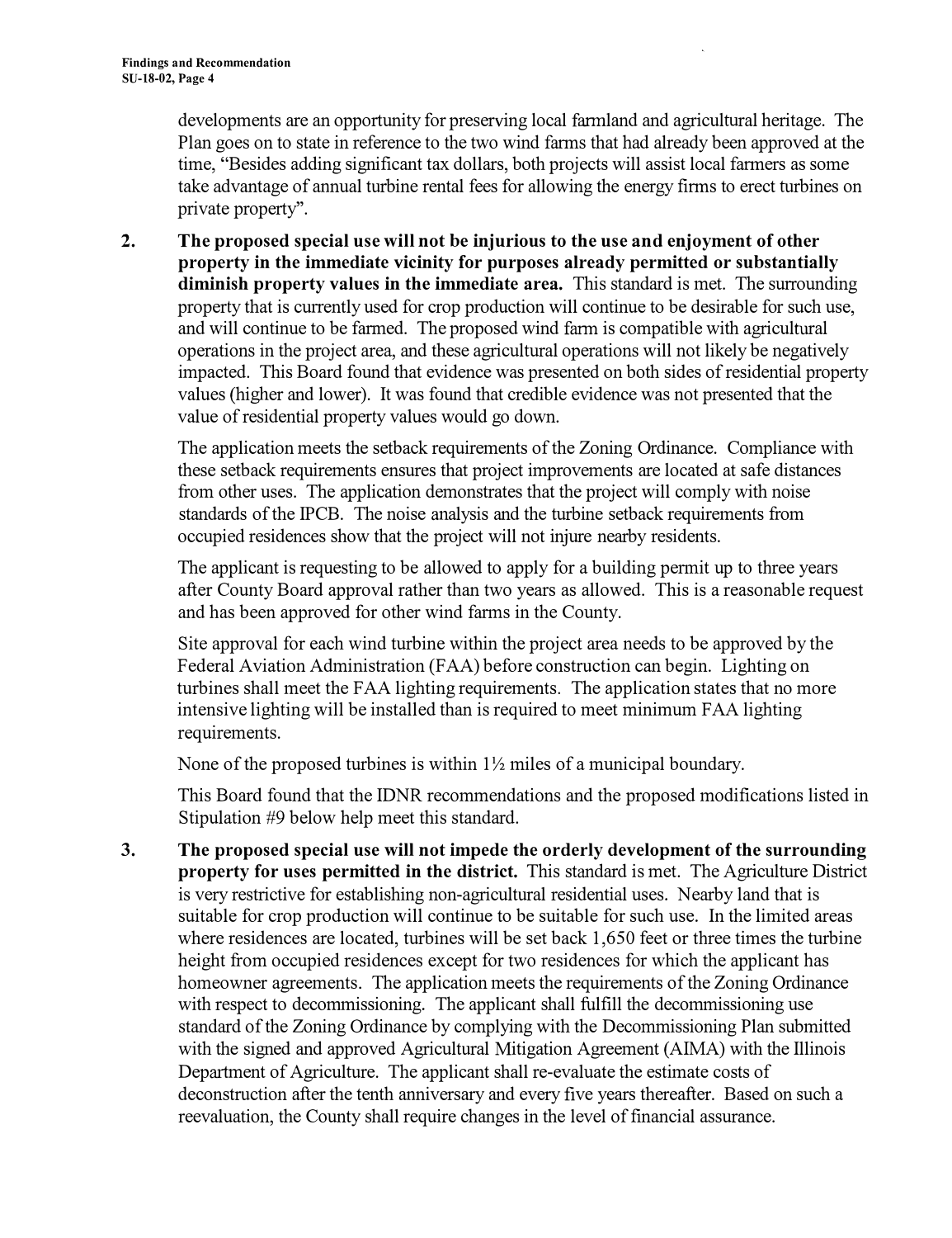developments are an opportunity for preserving local farmland and agricultural heritage. The Plan goes on to state in reference to the two wind farms that had already been approved at the time, "Besides adding significant tax dollars, both projects will assist local farmers as some take advantage of annual turbine rental fees for allowing the energy firms to erect turbines on private property''.

**2. The proposed special use will not be injurious to the use and enjoyment of other property in the immediate vicinity for purposes already permitted or substantially diminish property values in the immediate area.** This standard is met. The surrounding property that is currently used for crop production will continue to be desirable for such use, and will continue to be fanned. The proposed wind farm is compatible with agricultural operations in the project area, and these agricultural operations will not likely be negatively impacted. This Board found that evidence was presented on both sides of residential property values (higher and lower). It was found that credible evidence was not presented that the value of residential property values would go down.

The application meets the setback requirements of the Zoning Ordinance. Compliance with these setback requirements ensures that project improvements are located at safe distances from other uses. The application demonstrates that the project will comply with noise standards of the IPCB. The noise analysis and the turbine setback requirements from occupied residences show that the project will not injure nearby residents.

The applicant is requesting to be allowed to apply for a building pennit up to three years after County Board approval rather than two years as allowed. This is a reasonable request and has been approved for other wind fanns in the County.

Site approval for each wind turbine within the project area needs to be approved by the Federal Aviation Administration (FAA) before construction can begin. Lighting on turbines shall meet the FAA lighting requirements. The application states that no more intensive lighting will be installed than is required to meet minimum FAA lighting requirements.

None of the proposed turbines is within  $1\frac{1}{2}$  miles of a municipal boundary.

This Board found that the IDNR recommendations and the proposed modifications listed in Stipulation #9 below help meet this standard.

**3. The proposed special use will not impede the orderly development of the surrounding property for uses permitted in the district.** This standard is met. The Agriculture District is very restrictive for establishing non-agricultural residential uses. Nearby land that is suitable for crop production will continue to be suitable for such use. In the limited areas where residences are located, turbines will be set back 1,650 feet or three times the turbine height from occupied residences except for two residences for which the applicant has homeowner agreements. The application meets the requirements of the Zoning Ordinance with respect to decommissioning. The applicant shall fulfill the decommissioning use standard of the Zoning Ordinance by complying with the Decommissioning Plan submitted with the signed and approved Agricultural Mitigation Agreement (AIMA) with the Illinois Department of Agriculture. The applicant shall re-evaluate the estimate costs of deconstruction after the tenth anniversary and every five years thereafter. Based on such a reevaluation, the County shall require changes in the level of financial assurance.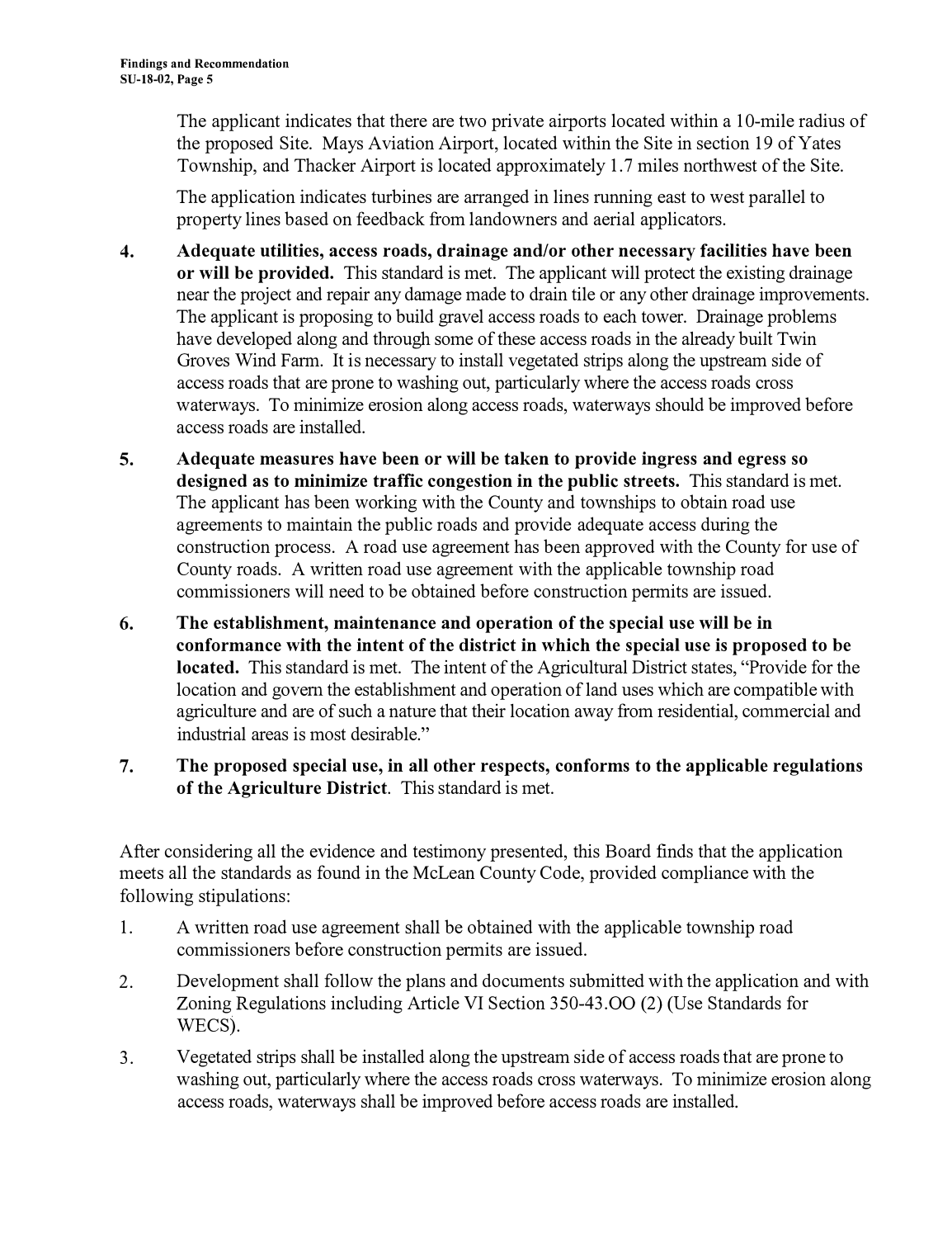The applicant indicates that there are two private airports located within a 10-mile radius of the proposed Site. Mays Aviation Airport, located within the Site in section 19 of Yates Township, and Thacker Airport is located approximately 1.7 miles northwest of the Site.

The application indicates turbines are arranged in lines running east to west parallel to property lines based on feedback from landowners and aerial applicators.

- **4. Adequate utilities, access roads, drainage and/or other necessary facilities have been or will be provided.** This standard is met. The applicant will protect the existing drainage near the project and repair any damage made to drain tile or any other drainage improvements. The applicant is proposing to build gravel access roads to each tower. Drainage problems have developed along and through some of these access roads in the already built Twin Groves Wind Fann. It is necessary to install vegetated strips along the upstream side of access roads that are prone to washing out, particularly where the access roads cross waterways. To minimize erosion along access roads, waterways should be improved before access roads are installed.
- **5. Adequate measures have been or will be taken to provide ingress and egress so designed as to minimize traffic congestion in the public streets.** This standard is met. The applicant has been working with the County and townships to obtain road use agreements to maintain the public roads and provide adequate access during the construction process. A road use agreement has been approved with the County for use of County roads. A written road use agreement with the applicable township road commissioners will need to be obtained before construction permits are issued.
- **6. The establishment, maintenance and operation of the special use will be in conformance with the intent of the district in which the special use is proposed to be located.** This standard is met. The intent of the Agricultural District states, "Provide for the location and govern the establishment and operation of land uses which are compatible with agriculture and are of such a nature that their location away from residential, commercial and industrial areas is most desirable."
- **7. The proposed special use, in all other respects, conforms to the applicable regulations of the Agriculture District.** This standard is met.

After considering all the evidence and testimony presented, this Board finds that the application meets all the standards as found in the McLean County Code, provided compliance with the following stipulations:

- 1. A written road use agreement shall be obtained with the applicable township road commissioners before construction pennits are issued.
- 2. Development shall follow the plans and documents submitted with the application and with Zoning Regulations including Article VI Section 350-43.00 (2) (Use Standards for WECS).
- 3. Vegetated strips shall be installed along the upstream side of access roads that are prone to washing out, particularly where the access roads cross waterways. To minimize erosion along access roads, waterways shall be improved before access roads are installed.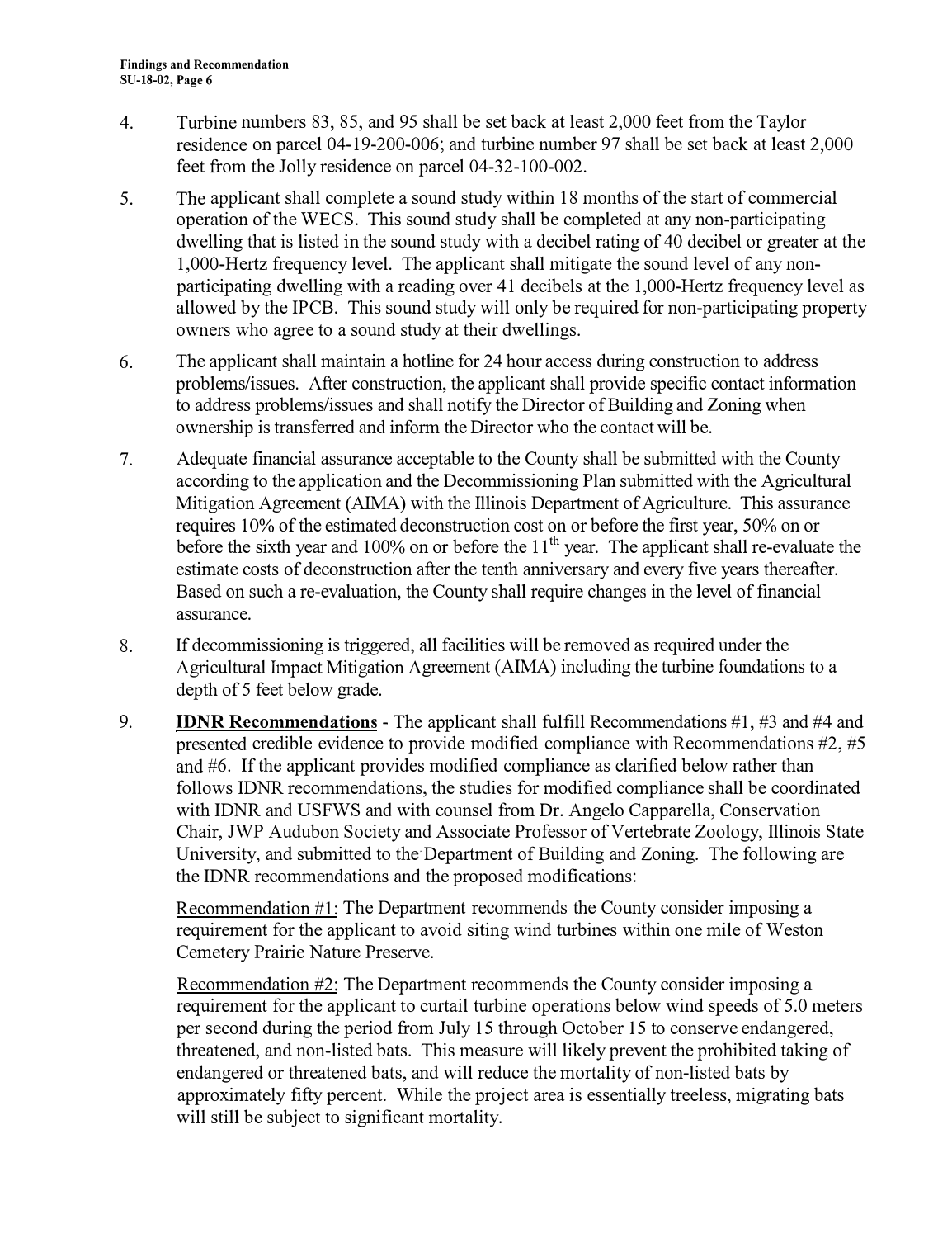- 4. Turbine numbers 83, 85, and 95 shall be set back at least 2,000 feet from the Taylor residence on parcel 04-19-200-006; and turbine number 97 shall be set back at least 2,000 feet from the Jolly residence on parcel 04-32-100-002.
- 5. The applicant shall complete a sound study within 18 months of the start of commercial operation of the WECS. This sound study shall be completed at any non-participating dwelling that is listed in the sound study with a decibel rating of 40 decibel or greater at the 1,000-Hertz frequency level. The applicant shall mitigate the sound level of any nonparticipating dwelling with a reading over 41 decibels at the 1,000-Hertz frequency level as allowed by the IPCB. This sound study will only be required for non-participating property owners who agree to a sound study at their dwellings.
- 6. The applicant shall maintain a hotline for 24 hour access during construction to address problems/issues. After construction, the applicant shall provide specific contact information to address problems/issues and shall notify the Director of Building and Zoning when ownership is transferred and inform the Director who the contact will be.
- 7. Adequate financial assurance acceptable to the County shall be submitted with the County according to the application and the Decommissioning Plan submitted with the Agricultural Mitigation Agreement (AIMA) with the Illinois Department of Agriculture. This assurance requires 10% of the estimated deconstruction cost on or before the first year, 50% on or before the sixth year and 100% on or before the  $11<sup>th</sup>$  year. The applicant shall re-evaluate the estimate costs of deconstruction after the tenth anniversary and every five years thereafter. Based on such a re-evaluation, the County shall require changes in the level of financial assurance.
- 8. If decommissioning is triggered, all facilities will be removed as required under the Agricultural Impact Mitigation Agreement (AIMA) including the turbine foundations to a depth of 5 feet below grade.
- 9. **IDNR Recommendations**  The applicant shall fulfill Recommendations #1, #3 and #4 and presented credible evidence to provide modified compliance with Recommendations #2, #5 and #6. If the applicant provides modified compliance as clarified below rather than follows IDNR recommendations, the studies for modified compliance shall be coordinated with IDNR and USFWS and with counsel from Dr. Angelo Capparella, Conservation Chair, JWP Audubon Society and Associate Professor of Vertebrate Zoology, Illinois State University, and submitted to the·Department of Building and Zoning. The following are the IDNR recommendations and the proposed modifications:

Recommendation #1: The Department recommends the County consider imposing a requirement for the applicant to avoid siting wind turbines within one mile of Weston Cemetery Prairie Nature Preserve.

Recommendation #2: The Department recommends the County consider imposing a requirement for the applicant to curtail turbine operations below wind speeds of 5.0 meters per second during the period from July 15 through October 15 to conserve endangered, threatened, and non-listed bats. This measure will likely prevent the prohibited taking of endangered or threatened bats, and will reduce the mortality of non-listed bats by approximately fifty percent. While the project area is essentially treeless, migrating bats will still be subject to significant mortality.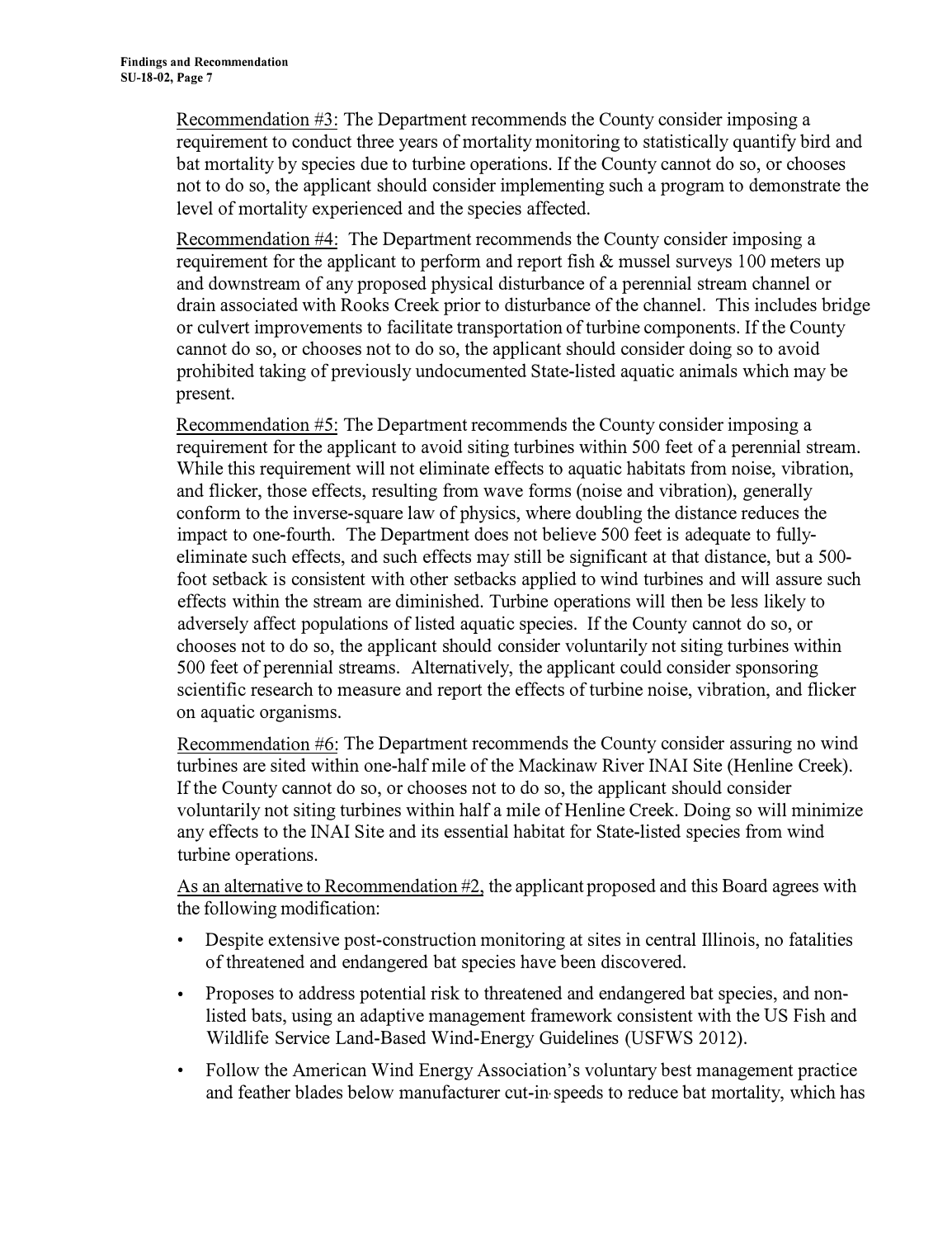Recommendation #3: The Department recommends the County consider imposing a requirement to conduct three years of mortality monitoring to statistically quantify bird and bat mortality by species due to turbine operations. If the County cannot do so, or chooses not to do so, the applicant should consider implementing such a program to demonstrate the level of mortality experienced and the species affected.

Recommendation #4: The Department recommends the County consider imposing a requirement for the applicant to perform and report fish  $\&$  mussel surveys 100 meters up and downstream of any proposed physical disturbance of a perennial stream channel or drain associated with Rooks Creek prior to disturbance of the channel. This includes bridge or culvert improvements to facilitate transportation of turbine components. If the County cannot do so, or chooses not to do so, the applicant should consider doing so to avoid prohibited taking of previously undocumented State-listed aquatic animals which may be present.

Recommendation #5: The Department recommends the County consider imposing a requirement for the applicant to avoid siting turbines within 500 feet of a perennial stream. While this requirement will not eliminate effects to aquatic habitats from noise, vibration, and flicker, those effects, resulting from wave forms (noise and vibration), generally confonn to the inverse-square law of physics, where doubling the distance reduces the impact to one-fourth. The Department does not believe 500 feet is adequate to fullyeliminate such effects, and such effects may still be significant at that distance, but a 500 foot setback is consistent with other setbacks applied to wind turbines and will assure such effects within the stream are diminished. Turbine operations will then be less likely to adversely affect populations of listed aquatic species. If the County cannot do so, or chooses not to do so, the applicant should consider voluntarily not siting turbines within 500 feet of perennial streams. Alternatively, the applicant could consider sponsoring scientific research to measure and report the effects of turbine noise, vibration, and flicker on aquatic organisms.

Recommendation #6: The Department recommends the County consider assuring no wind turbines are sited within one-half mile of the Mackinaw River INAI Site (Henline Creek). If the County cannot do so, or chooses not to do so, the applicant should consider voluntarily not siting turbines within half a mile of Henline Creek. Doing so will minimize any effects to the INAI Site and its essential habitat for State-listed species from wind turbine operations.

As an alternative to Recommendation #2, the applicant proposed and this Board agrees with the following modification:

- Despite extensive post-construction monitoring at sites in central Illinois, no fatalities of threatened and endangered bat species have been discovered.
- Proposes to address potential risk to threatened and endangered bat species, and nonlisted bats, using an adaptive management framework consistent with the US Fish and Wildlife Service Land-Based Wind-Energy Guidelines (USFWS 2012).
- Follow the American Wind Energy Association's voluntary best management practice and feather blades below manufacturer cut-in speeds to reduce bat mortality, which has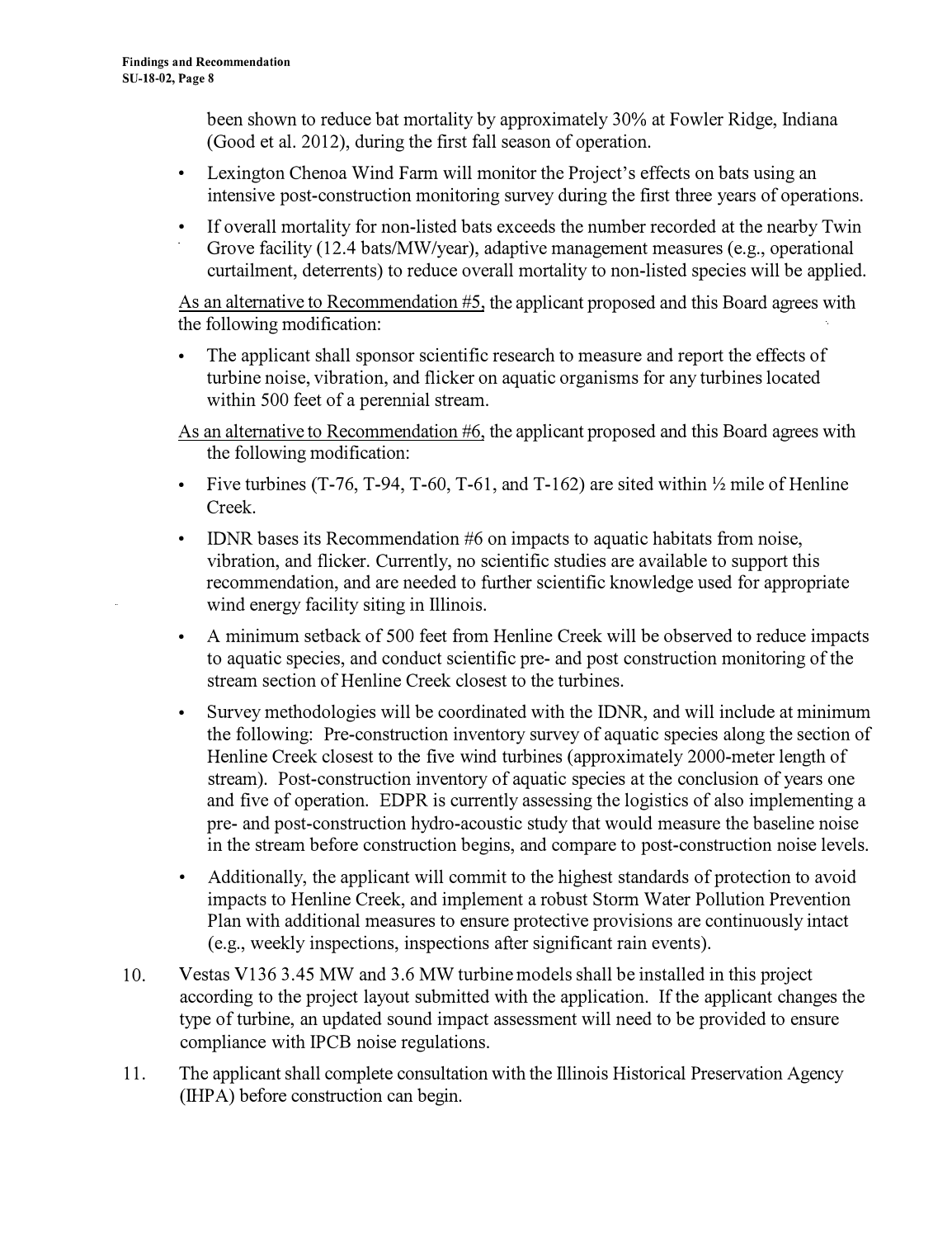been shown to reduce bat mortality by approximately 30% at Fowler Ridge, Indiana (Good et al. 2012), during the first fall season of operation.

- Lexington Chenoa Wind Farm will monitor the Project's effects on bats using an intensive post-construction monitoring survey during the first three years of operations.
- If overall mortality for non-listed bats exceeds the number recorded at the nearby Twin Grove facility (12.4 bats/MW/year), adaptive management measures (e.g., operational curtailment, deterrents) to reduce overall mortality to non-listed species will be applied.

As an alternative to Recommendation #5, the applicant proposed and this Board agrees with the following modification:

- The applicant shall sponsor scientific research to measure and report the effects of turbine noise, vibration, and flicker on aquatic organisms for any turbines located within 500 feet of a perennial stream.
- As an alternative to Recommendation #6, the applicant proposed and this Board agrees with the following modification:
- Five turbines (T-76, T-94, T-60, T-61, and T-162) are sited within  $\frac{1}{2}$  mile of Henline Creek.
- IDNR bases its Recommendation #6 on impacts to aquatic habitats from noise, vibration, and flicker. Currently, no scientific studies are available to support this recommendation, and are needed to further scientific knowledge used for appropriate wind energy facility siting in Illinois.
- A minimum setback of 500 feet from Henline Creek will be observed to reduce impacts to aquatic species, and conduct scientific pre- and post construction monitoring of the stream section of Henline Creek closest to the turbines.
- Survey methodologies will be coordinated with the IDNR, and will include at minimum the following: Pre-construction inventory survey of aquatic species along the section of Henline Creek closest to the five wind turbines (approximately 2000-meter length of stream). Post-construction inventory of aquatic species at the conclusion of years one and five of operation. EDPR is currently assessing the logistics of also implementing a pre- and post-construction hydro-acoustic study that would measure the baseline noise in the stream before construction begins, and compare to post-construction noise levels.
- Additionally, the applicant will commit to the highest standards of protection to avoid impacts to Henline Creek, and implement a robust Storm Water Pollution Prevention Plan with additional measures to ensure protective provisions are continuously intact (e.g., weekly inspections, inspections after significant rain events).
- 10. Vestas V136 3.45 MW and 3.6 MW turbine models shall be installed in this project according to the project layout submitted with the application. If the applicant changes the type of turbine, an updated sound impact assessment will need to be provided to ensure compliance with IPCB noise regulations.
- 11. The applicant shall complete consultation with the Illinois Historical Preservation Agency (IHP A) before construction can begin.